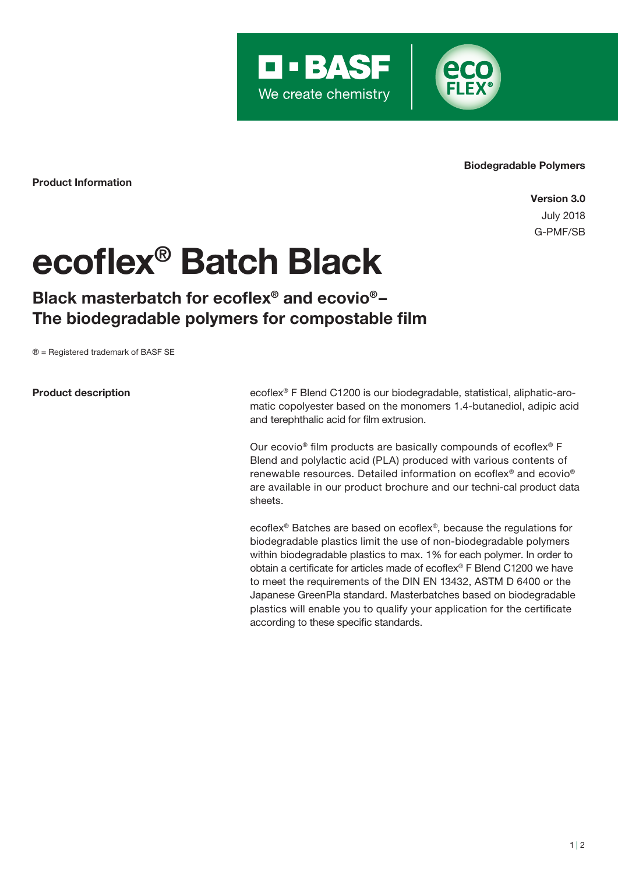



Product Information

Version 3.0 July 2018 G-PMF/SB

Biodegradable Polymers

## ecoflex® Batch Black

## Black masterbatch for ecoflex® and ecovio®– The biodegradable polymers for compostable film

® = Registered trademark of BASF SE

Product description

ecoflex® F Blend C1200 is our biodegradable, statistical, aliphatic-aromatic copolyester based on the monomers 1.4-butanediol, adipic acid and terephthalic acid for film extrusion.

Our ecovio® film products are basically compounds of ecoflex® F Blend and polylactic acid (PLA) produced with various contents of renewable resources. Detailed information on ecoflex® and ecovio® are available in our product brochure and our techni-cal product data sheets.

ecoflex® Batches are based on ecoflex®, because the regulations for biodegradable plastics limit the use of non-biodegradable polymers within biodegradable plastics to max. 1% for each polymer. In order to obtain a certificate for articles made of ecoflex® F Blend C1200 we have to meet the requirements of the DIN EN 13432, ASTM D 6400 or the Japanese GreenPla standard. Masterbatches based on biodegradable plastics will enable you to qualify your application for the certificate according to these specific standards.